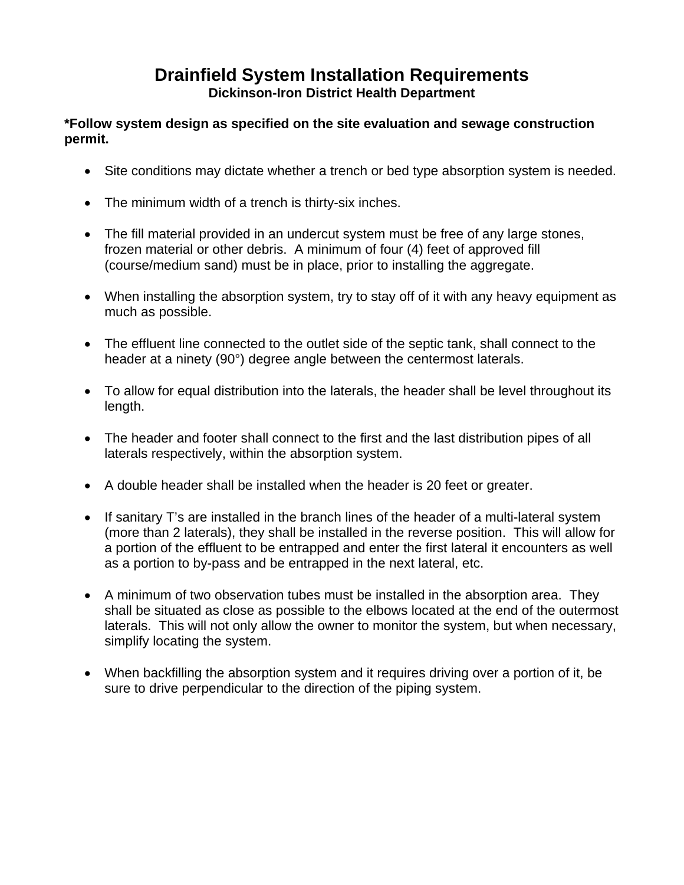## **Drainfield System Installation Requirements Dickinson-Iron District Health Department**

## **\*Follow system design as specified on the site evaluation and sewage construction permit.**

- Site conditions may dictate whether a trench or bed type absorption system is needed.
- The minimum width of a trench is thirty-six inches.
- The fill material provided in an undercut system must be free of any large stones, frozen material or other debris. A minimum of four (4) feet of approved fill (course/medium sand) must be in place, prior to installing the aggregate.
- When installing the absorption system, try to stay off of it with any heavy equipment as much as possible.
- The effluent line connected to the outlet side of the septic tank, shall connect to the header at a ninety (90°) degree angle between the centermost laterals.
- To allow for equal distribution into the laterals, the header shall be level throughout its length.
- The header and footer shall connect to the first and the last distribution pipes of all laterals respectively, within the absorption system.
- A double header shall be installed when the header is 20 feet or greater.
- If sanitary T's are installed in the branch lines of the header of a multi-lateral system (more than 2 laterals), they shall be installed in the reverse position. This will allow for a portion of the effluent to be entrapped and enter the first lateral it encounters as well as a portion to by-pass and be entrapped in the next lateral, etc.
- A minimum of two observation tubes must be installed in the absorption area. They shall be situated as close as possible to the elbows located at the end of the outermost laterals. This will not only allow the owner to monitor the system, but when necessary, simplify locating the system.
- When backfilling the absorption system and it requires driving over a portion of it, be sure to drive perpendicular to the direction of the piping system.